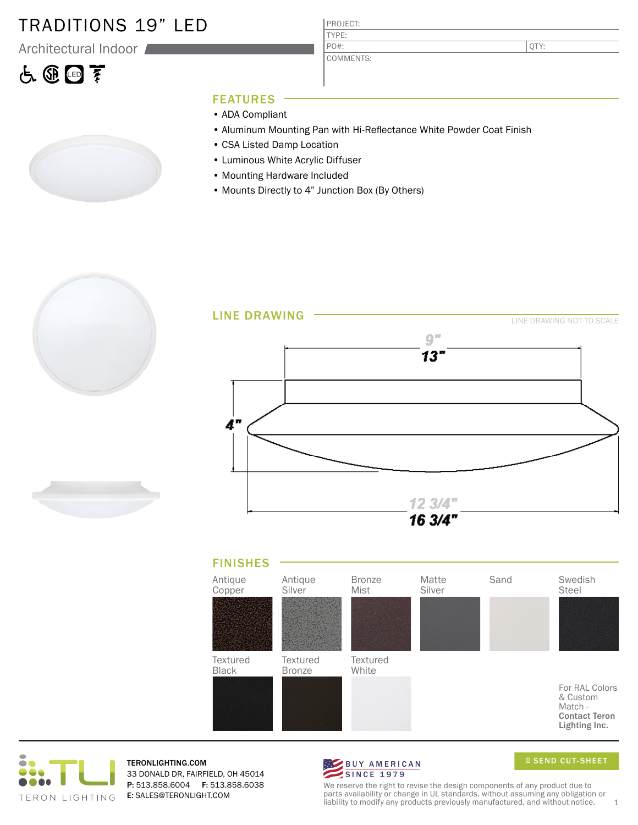### TRADITIONS 19" LED

Architectural Indoor

# 占田国亨



PROJECT: TYPE:

COMMENTS: PO#:

QTY:

#### FEATURES

- ADA Compliant
- Aluminum Mounting Pan with Hi-Reflectance White Powder Coat Finish
- CSA Listed Damp Location
- Luminous White Acrylic Diffuser
- Mounting Hardware Included
- Mounts Directly to 4" Junction Box (By Others)











TERONLIGHTING.COM 33 DONALD DR, FAIRFIELD, OH 45014 P: 513.858.6004 F: 513.858.6038 E: SALES@TERONLIGHT.COM



SEND CUT-SHEET

We reserve the right to revise the design components of any product due to parts availability or change in UL standards, without assuming any obligation or liability to modify any products previously manufactured, and without notice.  $1$